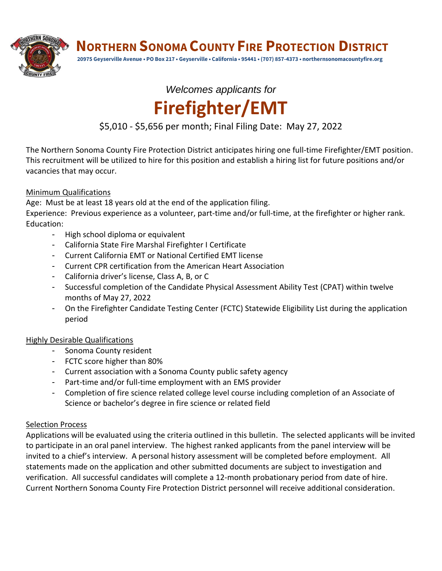**NORTHERN SONOMA COUNTY FIRE PROTECTION DISTRICT**



**20975 Geyserville Avenue • PO Box 217 • Geyserville • California • 95441 • (707) 857-4373 • northernsonomacountyfire.org**

# *Welcomes applicants for* **Firefighter/EMT**

# \$5,010 - \$5,656 per month; Final Filing Date: May 27, 2022

The Northern Sonoma County Fire Protection District anticipates hiring one full-time Firefighter/EMT position. This recruitment will be utilized to hire for this position and establish a hiring list for future positions and/or vacancies that may occur.

## Minimum Qualifications

Age: Must be at least 18 years old at the end of the application filing.

Experience: Previous experience as a volunteer, part-time and/or full-time, at the firefighter or higher rank. Education:

- High school diploma or equivalent
- California State Fire Marshal Firefighter I Certificate
- Current California EMT or National Certified EMT license
- Current CPR certification from the American Heart Association
- California driver's license, Class A, B, or C
- Successful completion of the Candidate Physical Assessment Ability Test (CPAT) within twelve months of May 27, 2022
- On the Firefighter Candidate Testing Center (FCTC) Statewide Eligibility List during the application period

## Highly Desirable Qualifications

- Sonoma County resident
- FCTC score higher than 80%
- Current association with a Sonoma County public safety agency
- Part-time and/or full-time employment with an EMS provider
- Completion of fire science related college level course including completion of an Associate of Science or bachelor's degree in fire science or related field

### **Selection Process**

Applications will be evaluated using the criteria outlined in this bulletin. The selected applicants will be invited to participate in an oral panel interview. The highest ranked applicants from the panel interview will be invited to a chief's interview. A personal history assessment will be completed before employment. All statements made on the application and other submitted documents are subject to investigation and verification. All successful candidates will complete a 12-month probationary period from date of hire. Current Northern Sonoma County Fire Protection District personnel will receive additional consideration.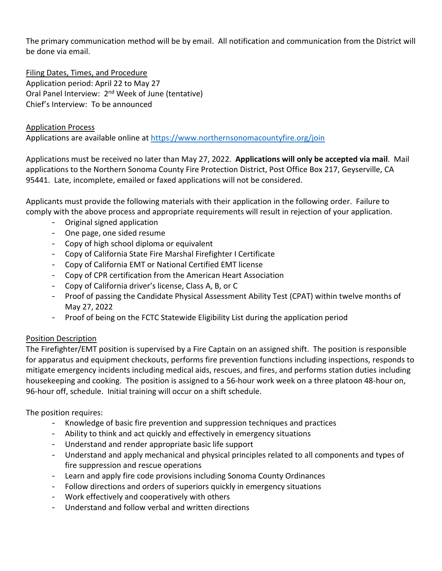The primary communication method will be by email. All notification and communication from the District will be done via email.

Filing Dates, Times, and Procedure Application period: April 22 to May 27 Oral Panel Interview: 2<sup>nd</sup> Week of June (tentative) Chief's Interview: To be announced

#### Application Process

Applications are available online at<https://www.northernsonomacountyfire.org/join>

Applications must be received no later than May 27, 2022. **Applications will only be accepted via mail**. Mail applications to the Northern Sonoma County Fire Protection District, Post Office Box 217, Geyserville, CA 95441. Late, incomplete, emailed or faxed applications will not be considered.

Applicants must provide the following materials with their application in the following order. Failure to comply with the above process and appropriate requirements will result in rejection of your application.

- Original signed application
- One page, one sided resume
- Copy of high school diploma or equivalent
- Copy of California State Fire Marshal Firefighter I Certificate
- Copy of California EMT or National Certified EMT license
- Copy of CPR certification from the American Heart Association
- Copy of California driver's license, Class A, B, or C
- Proof of passing the Candidate Physical Assessment Ability Test (CPAT) within twelve months of May 27, 2022
- Proof of being on the FCTC Statewide Eligibility List during the application period

### Position Description

The Firefighter/EMT position is supervised by a Fire Captain on an assigned shift. The position is responsible for apparatus and equipment checkouts, performs fire prevention functions including inspections, responds to mitigate emergency incidents including medical aids, rescues, and fires, and performs station duties including housekeeping and cooking. The position is assigned to a 56-hour work week on a three platoon 48-hour on, 96-hour off, schedule. Initial training will occur on a shift schedule.

The position requires:

- Knowledge of basic fire prevention and suppression techniques and practices
- Ability to think and act quickly and effectively in emergency situations
- Understand and render appropriate basic life support
- Understand and apply mechanical and physical principles related to all components and types of fire suppression and rescue operations
- Learn and apply fire code provisions including Sonoma County Ordinances
- Follow directions and orders of superiors quickly in emergency situations
- Work effectively and cooperatively with others
- Understand and follow verbal and written directions